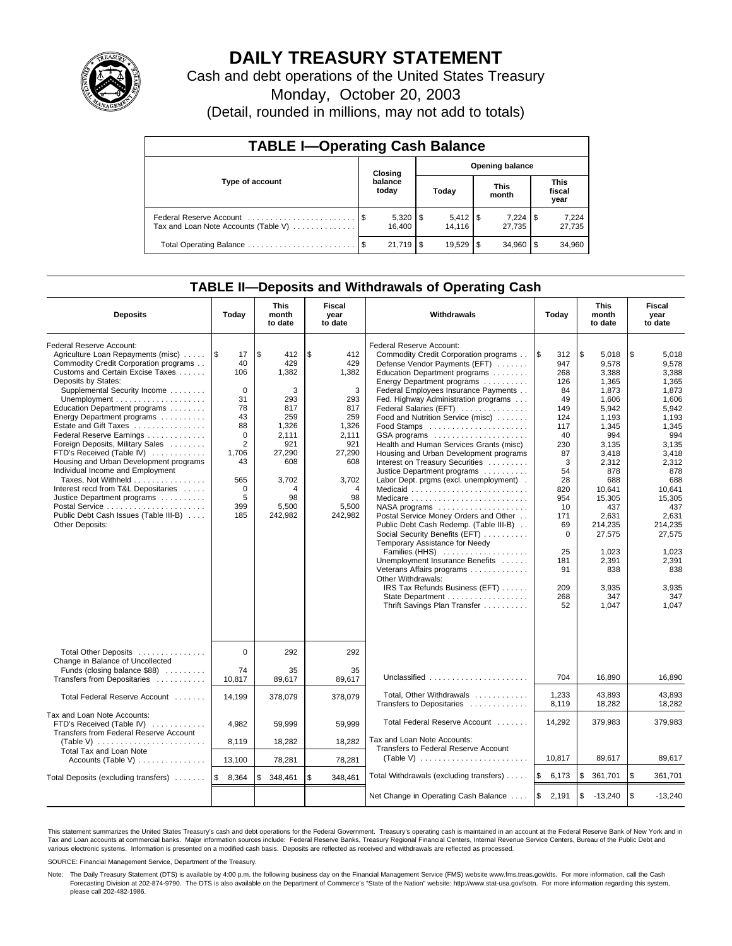

# **DAILY TREASURY STATEMENT**

Cash and debt operations of the United States Treasury

Monday, October 20, 2003

(Detail, rounded in millions, may not add to totals)

| <b>TABLE I-Operating Cash Balance</b> |                            |                        |       |        |                      |                 |                        |                 |  |  |
|---------------------------------------|----------------------------|------------------------|-------|--------|----------------------|-----------------|------------------------|-----------------|--|--|
|                                       | Opening balance<br>Closing |                        |       |        |                      |                 |                        |                 |  |  |
| Type of account                       |                            | balance<br>today       | Today |        | <b>This</b><br>month |                 | This<br>fiscal<br>year |                 |  |  |
| Tax and Loan Note Accounts (Table V)  |                            | $5,320$   \$<br>16.400 |       | 14.116 |                      | 7.224<br>27.735 | 1 S                    | 7,224<br>27,735 |  |  |
|                                       |                            | 21.719                 |       |        |                      | 34.960          | l \$                   | 34,960          |  |  |

### **TABLE II—Deposits and Withdrawals of Operating Cash**

| <b>Deposits</b>                                                                                                                                                                                                                                                                                                                                                                                                                                                                                                                                                                                                                                                                      | Today                                                                                                                                     | <b>This</b><br>month<br>to date                                                                                                        | Fiscal<br>year<br>to date                                                                                                             | Withdrawals                                                                                                                                                                                                                                                                                                                                                                                                                                                                                                                                                                                                                                                                                                                                                                                                                                                                                                                                                             | Today                                                                                                                                                                                         | <b>This</b><br>month<br>to date                                                                                                                                                                                                                | Fiscal<br>year<br>to date                                                                                                                                                                                                                      |
|--------------------------------------------------------------------------------------------------------------------------------------------------------------------------------------------------------------------------------------------------------------------------------------------------------------------------------------------------------------------------------------------------------------------------------------------------------------------------------------------------------------------------------------------------------------------------------------------------------------------------------------------------------------------------------------|-------------------------------------------------------------------------------------------------------------------------------------------|----------------------------------------------------------------------------------------------------------------------------------------|---------------------------------------------------------------------------------------------------------------------------------------|-------------------------------------------------------------------------------------------------------------------------------------------------------------------------------------------------------------------------------------------------------------------------------------------------------------------------------------------------------------------------------------------------------------------------------------------------------------------------------------------------------------------------------------------------------------------------------------------------------------------------------------------------------------------------------------------------------------------------------------------------------------------------------------------------------------------------------------------------------------------------------------------------------------------------------------------------------------------------|-----------------------------------------------------------------------------------------------------------------------------------------------------------------------------------------------|------------------------------------------------------------------------------------------------------------------------------------------------------------------------------------------------------------------------------------------------|------------------------------------------------------------------------------------------------------------------------------------------------------------------------------------------------------------------------------------------------|
| Federal Reserve Account:<br>Agriculture Loan Repayments (misc)<br>Commodity Credit Corporation programs<br>Customs and Certain Excise Taxes<br>Deposits by States:<br>Supplemental Security Income<br>Unemployment $\dots\dots\dots\dots\dots\dots\dots$<br>Education Department programs<br>Energy Department programs<br>Estate and Gift Taxes<br>Federal Reserve Earnings<br>Foreign Deposits, Military Sales<br>FTD's Received (Table IV)<br>Housing and Urban Development programs<br>Individual Income and Employment<br>Taxes, Not Withheld<br>Interest recd from T&L Depositaries<br>Justice Department programs<br>Public Debt Cash Issues (Table III-B)<br>Other Deposits: | 1\$<br>17<br>40<br>106<br>$\mathbf 0$<br>31<br>78<br>43<br>88<br>$\mathbf 0$<br>2<br>1,706<br>43<br>565<br>$\mathbf 0$<br>5<br>399<br>185 | l\$<br>412<br>429<br>1,382<br>3<br>293<br>817<br>259<br>1,326<br>2.111<br>921<br>27,290<br>608<br>3,702<br>4<br>98<br>5,500<br>242,982 | \$<br>412<br>429<br>1,382<br>3<br>293<br>817<br>259<br>1,326<br>2.111<br>921<br>27,290<br>608<br>3,702<br>4<br>98<br>5,500<br>242,982 | Federal Reserve Account:<br>Commodity Credit Corporation programs<br>Defense Vendor Payments (EFT)<br>Education Department programs<br>Energy Department programs<br>Federal Employees Insurance Payments<br>Fed. Highway Administration programs<br>Federal Salaries (EFT)<br>Food and Nutrition Service (misc)<br>GSA programs<br>Health and Human Services Grants (misc)<br>Housing and Urban Development programs<br>Interest on Treasury Securities<br>Justice Department programs<br>Labor Dept. prgms (excl. unemployment).<br>Medicaid<br>Medicare<br>$NASA$ programs $\ldots \ldots \ldots \ldots \ldots$<br>Postal Service Money Orders and Other<br>Public Debt Cash Redemp. (Table III-B)<br>Social Security Benefits (EFT)<br>Temporary Assistance for Needy<br>Families (HHS)<br>Unemployment Insurance Benefits<br>Veterans Affairs programs<br>Other Withdrawals:<br>IRS Tax Refunds Business (EFT)<br>State Department<br>Thrift Savings Plan Transfer | <b>S</b><br>312<br>947<br>268<br>126<br>84<br>49<br>149<br>124<br>117<br>40<br>230<br>87<br>3<br>54<br>28<br>820<br>954<br>10<br>171<br>69<br>$\Omega$<br>25<br>181<br>91<br>209<br>268<br>52 | \$<br>5,018<br>9.578<br>3.388<br>1,365<br>1,873<br>1,606<br>5,942<br>1,193<br>1.345<br>994<br>3,135<br>3,418<br>2,312<br>878<br>688<br>10.641<br>15,305<br>437<br>2,631<br>214.235<br>27,575<br>1.023<br>2,391<br>838<br>3.935<br>347<br>1,047 | \$<br>5,018<br>9,578<br>3,388<br>1,365<br>1,873<br>1,606<br>5,942<br>1,193<br>1.345<br>994<br>3,135<br>3,418<br>2,312<br>878<br>688<br>10.641<br>15,305<br>437<br>2,631<br>214.235<br>27,575<br>1.023<br>2,391<br>838<br>3,935<br>347<br>1,047 |
| Total Other Deposits                                                                                                                                                                                                                                                                                                                                                                                                                                                                                                                                                                                                                                                                 | $\mathbf 0$                                                                                                                               | 292                                                                                                                                    | 292                                                                                                                                   |                                                                                                                                                                                                                                                                                                                                                                                                                                                                                                                                                                                                                                                                                                                                                                                                                                                                                                                                                                         |                                                                                                                                                                                               |                                                                                                                                                                                                                                                |                                                                                                                                                                                                                                                |
| Change in Balance of Uncollected<br>Funds (closing balance \$88)<br>Transfers from Depositaries                                                                                                                                                                                                                                                                                                                                                                                                                                                                                                                                                                                      | 74<br>10,817                                                                                                                              | 35<br>89,617                                                                                                                           | 35<br>89,617                                                                                                                          | Unclassified                                                                                                                                                                                                                                                                                                                                                                                                                                                                                                                                                                                                                                                                                                                                                                                                                                                                                                                                                            | 704                                                                                                                                                                                           | 16,890                                                                                                                                                                                                                                         | 16,890                                                                                                                                                                                                                                         |
| Total Federal Reserve Account                                                                                                                                                                                                                                                                                                                                                                                                                                                                                                                                                                                                                                                        | 14.199                                                                                                                                    | 378,079                                                                                                                                | 378,079                                                                                                                               | Total, Other Withdrawals<br>Transfers to Depositaries                                                                                                                                                                                                                                                                                                                                                                                                                                                                                                                                                                                                                                                                                                                                                                                                                                                                                                                   | 1,233<br>8,119                                                                                                                                                                                | 43,893<br>18,282                                                                                                                                                                                                                               | 43,893<br>18.282                                                                                                                                                                                                                               |
| Tax and Loan Note Accounts:<br>FTD's Received (Table IV)<br>Transfers from Federal Reserve Account                                                                                                                                                                                                                                                                                                                                                                                                                                                                                                                                                                                   | 4,982                                                                                                                                     | 59,999                                                                                                                                 | 59,999                                                                                                                                | Total Federal Reserve Account<br>Tax and Loan Note Accounts:                                                                                                                                                                                                                                                                                                                                                                                                                                                                                                                                                                                                                                                                                                                                                                                                                                                                                                            | 14,292                                                                                                                                                                                        | 379,983                                                                                                                                                                                                                                        | 379,983                                                                                                                                                                                                                                        |
| Total Tax and Loan Note                                                                                                                                                                                                                                                                                                                                                                                                                                                                                                                                                                                                                                                              | 8,119                                                                                                                                     | 18,282                                                                                                                                 | 18,282                                                                                                                                | Transfers to Federal Reserve Account<br>(Table V) $\ldots \ldots \ldots \ldots \ldots \ldots \ldots$                                                                                                                                                                                                                                                                                                                                                                                                                                                                                                                                                                                                                                                                                                                                                                                                                                                                    | 10,817                                                                                                                                                                                        | 89,617                                                                                                                                                                                                                                         | 89,617                                                                                                                                                                                                                                         |
| Accounts (Table V)                                                                                                                                                                                                                                                                                                                                                                                                                                                                                                                                                                                                                                                                   | 13,100                                                                                                                                    | 78,281                                                                                                                                 | 78,281                                                                                                                                |                                                                                                                                                                                                                                                                                                                                                                                                                                                                                                                                                                                                                                                                                                                                                                                                                                                                                                                                                                         |                                                                                                                                                                                               |                                                                                                                                                                                                                                                |                                                                                                                                                                                                                                                |
| Total Deposits (excluding transfers)                                                                                                                                                                                                                                                                                                                                                                                                                                                                                                                                                                                                                                                 | 8,364<br>1\$                                                                                                                              | 348,461<br>\$                                                                                                                          | \$<br>348,461                                                                                                                         | Total Withdrawals (excluding transfers)                                                                                                                                                                                                                                                                                                                                                                                                                                                                                                                                                                                                                                                                                                                                                                                                                                                                                                                                 | <b>S</b><br>6,173                                                                                                                                                                             | \$<br>361,701                                                                                                                                                                                                                                  | <b>S</b><br>361,701                                                                                                                                                                                                                            |
|                                                                                                                                                                                                                                                                                                                                                                                                                                                                                                                                                                                                                                                                                      |                                                                                                                                           |                                                                                                                                        |                                                                                                                                       | Net Change in Operating Cash Balance                                                                                                                                                                                                                                                                                                                                                                                                                                                                                                                                                                                                                                                                                                                                                                                                                                                                                                                                    | l\$<br>2,191                                                                                                                                                                                  | \$<br>$-13,240$                                                                                                                                                                                                                                | l \$<br>$-13,240$                                                                                                                                                                                                                              |

This statement summarizes the United States Treasury's cash and debt operations for the Federal Government. Treasury's operating cash is maintained in an account at the Federal Reserve Bank of New York and in Tax and Loan accounts at commercial banks. Major information sources include: Federal Reserve Banks, Treasury Regional Financial Centers, Internal Revenue Service Centers, Bureau of the Public Debt and<br>various electronic s

SOURCE: Financial Management Service, Department of the Treasury.

Note: The Daily Treasury Statement (DTS) is available by 4:00 p.m. the following business day on the Financial Management Service (FMS) website www.fms.treas.gov/dts. For more information, call the Cash Forecasting Division at 202-874-9790. The DTS is also available on the Department of Commerce's "State of the Nation" website: http://www.stat-usa.gov/sotn. For more information regarding this system, please call 202-482-1986.